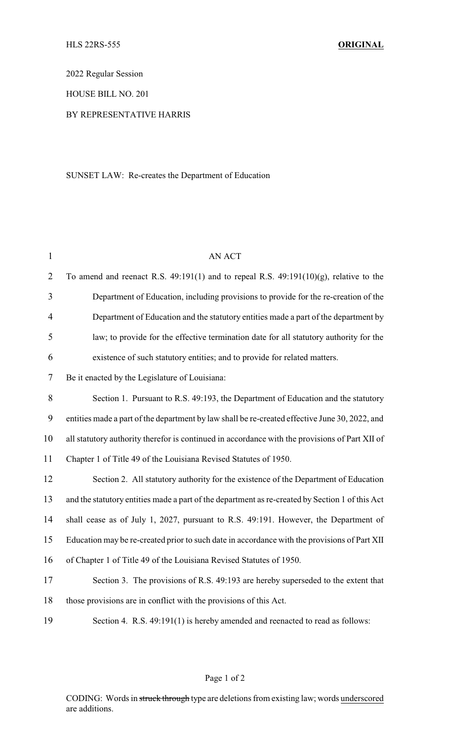2022 Regular Session

HOUSE BILL NO. 201

## BY REPRESENTATIVE HARRIS

## SUNSET LAW: Re-creates the Department of Education

| $\mathbf{1}$   | <b>AN ACT</b>                                                                                   |  |  |
|----------------|-------------------------------------------------------------------------------------------------|--|--|
| $\overline{2}$ | To amend and reenact R.S. $49:191(1)$ and to repeal R.S. $49:191(10)(g)$ , relative to the      |  |  |
| $\overline{3}$ | Department of Education, including provisions to provide for the re-creation of the             |  |  |
| $\overline{4}$ | Department of Education and the statutory entities made a part of the department by             |  |  |
| 5              | law; to provide for the effective termination date for all statutory authority for the          |  |  |
| 6              | existence of such statutory entities; and to provide for related matters.                       |  |  |
| 7              | Be it enacted by the Legislature of Louisiana:                                                  |  |  |
| $8\,$          | Section 1. Pursuant to R.S. 49:193, the Department of Education and the statutory               |  |  |
| 9              | entities made a part of the department by law shall be re-created effective June 30, 2022, and  |  |  |
| 10             | all statutory authority therefor is continued in accordance with the provisions of Part XII of  |  |  |
| 11             | Chapter 1 of Title 49 of the Louisiana Revised Statutes of 1950.                                |  |  |
| 12             | Section 2. All statutory authority for the existence of the Department of Education             |  |  |
| 13             | and the statutory entities made a part of the department as re-created by Section 1 of this Act |  |  |
| 14             | shall cease as of July 1, 2027, pursuant to R.S. 49:191. However, the Department of             |  |  |
| 15             | Education may be re-created prior to such date in accordance with the provisions of Part XII    |  |  |
| 16             | of Chapter 1 of Title 49 of the Louisiana Revised Statutes of 1950.                             |  |  |
| 17             | Section 3. The provisions of R.S. 49:193 are hereby superseded to the extent that               |  |  |
| 18             | those provisions are in conflict with the provisions of this Act.                               |  |  |
| 19             | Section 4. R.S. 49:191(1) is hereby amended and reenacted to read as follows:                   |  |  |

CODING: Words in struck through type are deletions from existing law; words underscored are additions.